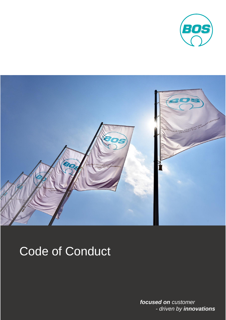



# Code of Conduct

*focused on customer - driven by innovations*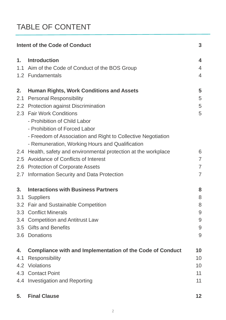# TABLE OF CONTENT

| Intent of the Code of Conduct |                                                                  | 3              |
|-------------------------------|------------------------------------------------------------------|----------------|
| 1.                            | <b>Introduction</b>                                              | 4              |
|                               | 1.1 Aim of the Code of Conduct of the BOS Group                  | $\overline{4}$ |
|                               | 1.2 Fundamentals                                                 | $\overline{4}$ |
| 2.                            | <b>Human Rights, Work Conditions and Assets</b>                  | 5              |
| 2.1                           | <b>Personal Responsibility</b>                                   | 5              |
|                               | 2.2 Protection against Discrimination                            | 5              |
|                               | 2.3 Fair Work Conditions                                         | 5              |
|                               | - Prohibition of Child Labor                                     |                |
|                               | - Prohibition of Forced Labor                                    |                |
|                               | - Freedom of Association and Right to Collective Negotiation     |                |
|                               | - Remuneration, Working Hours and Qualification                  |                |
|                               | 2.4 Health, safety and environmental protection at the workplace | 6              |
| 2.5                           | <b>Avoidance of Conflicts of Interest</b>                        | $\overline{7}$ |
| 2.6                           | <b>Protection of Corporate Assets</b>                            | $\overline{7}$ |
| 2.7                           | Information Security and Data Protection                         | $\overline{7}$ |
| 3.                            | <b>Interactions with Business Partners</b>                       | 8              |
|                               | 3.1 Suppliers                                                    | 8              |
|                               | 3.2 Fair and Sustainable Competition                             | 8              |
|                               | 3.3 Conflict Minerals                                            | 9              |
|                               | 3.4 Competition and Antitrust Law                                | 9              |
| 3.5                           | <b>Gifts and Benefits</b>                                        | 9              |
| 3.6                           | <b>Donations</b>                                                 | 9              |
| 4.                            | <b>Compliance with and Implementation of the Code of Conduct</b> | 10             |
| 4.1                           | <b>Responsibility</b>                                            | 10             |
|                               | 4.2 Violations                                                   | 10             |
|                               | 4.3 Contact Point                                                | 11             |
|                               | 4.4 Investigation and Reporting                                  | 11             |
| 5.                            | <b>Final Clause</b>                                              | $12 \,$        |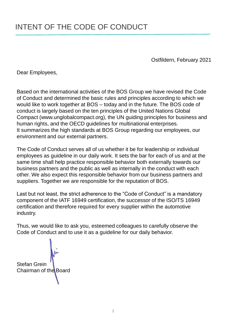Ostfildern, February 2021

Dear Employees,

Based on the international activities of the BOS Group we have revised the Code of Conduct and determined the basic rules and principles according to which we would like to work together at BOS – today and in the future. The BOS code of conduct is largely based on the ten principles of the United Nations Global Compact (www.unglobalcompact.org), the UN guiding principles for business and human rights, and the OECD guidelines for multinational enterprises. It summarizes the high standards at BOS Group regarding our employees, our environment and our external partners.

The Code of Conduct serves all of us whether it be for leadership or individual employees as guideline in our daily work. It sets the bar for each of us and at the same time shall help practice responsible behavior both externally towards our business partners and the public as well as internally in the conduct with each other. We also expect this responsible behavior from our business partners and suppliers. Together we are responsible for the reputation of BOS.

Last but not least, the strict adherence to the "Code of Conduct" is a mandatory component of the IATF 16949 certification, the successor of the ISO/TS 16949 certification and therefore required for every supplier within the automotive industry.

Thus, we would like to ask you, esteemed colleagues to carefully observe the Code of Conduct and to use it as a guideline for our daily behavior.

Stefan Grein Chairman of the Board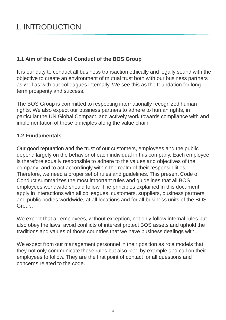## 1. INTRODUCTION

#### **1.1 Aim of the Code of Conduct of the BOS Group**

It is our duty to conduct all business transaction ethically and legally sound with the objective to create an environment of mutual trust both with our business partners as well as with our colleagues internally. We see this as the foundation for longterm prosperity and success.

The BOS Group is committed to respecting internationally recognized human rights. We also expect our business partners to adhere to human rights, in particular the UN Global Compact, and actively work towards compliance with and implementation of these principles along the value chain.

#### **1.2 Fundamentals**

Our good reputation and the trust of our customers, employees and the public depend largely on the behavior of each individual in this company. Each employee is therefore equally responsible to adhere to the values and objectives of the company and to act accordingly within the realm of their responsibilities. Therefore, we need a proper set of rules and guidelines. This present Code of Conduct summarizes the most important rules and guidelines that all BOS employees worldwide should follow. The principles explained in this document apply in interactions with all colleagues, customers, suppliers, business partners and public bodies worldwide, at all locations and for all business units of the BOS Group.

We expect that all employees, without exception, not only follow internal rules but also obey the laws, avoid conflicts of interest protect BOS assets and uphold the traditions and values of those countries that we have business dealings with.

We expect from our management personnel in their position as role models that they not only communicate these rules but also lead by example and call on their employees to follow. They are the first point of contact for all questions and concerns related to the code.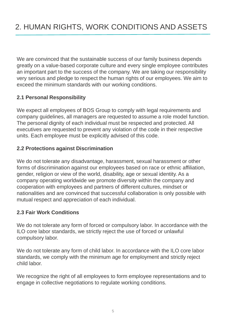We are convinced that the sustainable success of our family business depends greatly on a value-based corporate culture and every single employee contributes an important part to the success of the company. We are taking our responsibility very serious and pledge to respect the human rights of our employees. We aim to exceed the minimum standards with our working conditions.

#### **2.1 Personal Responsibility**

We expect all employees of BOS Group to comply with legal requirements and company guidelines, all managers are requested to assume a role model function. The personal dignity of each individual must be respected and protected. All executives are requested to prevent any violation of the code in their respective units. Each employee must be explicitly advised of this code.

#### **2.2 Protections against Discrimination**

We do not tolerate any disadvantage, harassment, sexual harassment or other forms of discrimination against our employees based on race or ethnic affiliation, gender, religion or view of the world, disability, age or sexual identity. As a company operating worldwide we promote diversity within the company and cooperation with employees and partners of different cultures, mindset or nationalities and are convinced that successful collaboration is only possible with mutual respect and appreciation of each individual.

#### **2.3 Fair Work Conditions**

We do not tolerate any form of forced or compulsory labor. In accordance with the ILO core labor standards, we strictly reject the use of forced or unlawful compulsory labor.

We do not tolerate any form of child labor. In accordance with the ILO core labor standards, we comply with the minimum age for employment and strictly reject child labor.

We recognize the right of all employees to form employee representations and to engage in collective negotiations to regulate working conditions.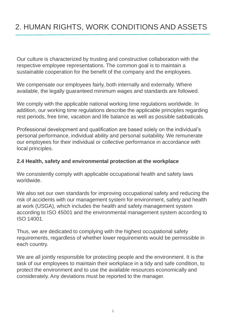# 2. HUMAN RIGHTS, WORK CONDITIONS AND ASSETS

Our culture is characterized by trusting and constructive collaboration with the respective employee representations. The common goal is to maintain a sustainable cooperation for the benefit of the company and the employees.

We compensate our employees fairly, both internally and externally. Where available, the legally guaranteed minimum wages and standards are followed.

We comply with the applicable national working time regulations worldwide. In addition, our working time regulations describe the applicable principles regarding rest periods, free time, vacation and life balance as well as possible sabbaticals.

Professional development and qualification are based solely on the individual's personal performance, individual ability and personal suitability. We remunerate our employees for their individual or collective performance in accordance with local principles.

#### **2.4 Health, safety and environmental protection at the workplace**

We consistently comply with applicable occupational health and safety laws worldwide.

We also set our own standards for improving occupational safety and reducing the risk of accidents with our management system for environment, safety and health at work (USGA), which includes the health and safety management system according to ISO 45001 and the environmental management system according to ISO 14001.

Thus, we are dedicated to complying with the highest occupational safety requirements, regardless of whether lower requirements would be permissible in each country.

We are all jointly responsible for protecting people and the environment. It is the task of our employees to maintain their workplace in a tidy and safe condition, to protect the environment and to use the available resources economically and considerately. Any deviations must be reported to the manager.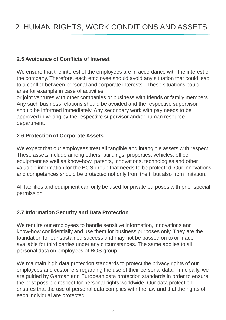# 2. HUMAN RIGHTS, WORK CONDITIONS AND ASSETS

#### **2.5 Avoidance of Conflicts of Interest**

We ensure that the interest of the employees are in accordance with the interest of the company. Therefore, each employee should avoid any situation that could lead to a conflict between personal and corporate interests. These situations could arise for example in case of activities

or joint ventures with other companies or business with friends or family members. Any such business relations should be avoided and the respective supervisor should be informed immediately. Any secondary work with pay needs to be approved in writing by the respective supervisor and/or human resource department.

#### **2.6 Protection of Corporate Assets**

We expect that our employees treat all tangible and intangible assets with respect. These assets include among others, buildings, properties, vehicles, office equipment as well as know-how, patents, innovations, technologies and other valuable information for the BOS group that needs to be protected. Our innovations and competences should be protected not only from theft, but also from imitation.

All facilities and equipment can only be used for private purposes with prior special permission.

#### **2.7 Information Security and Data Protection**

We require our employees to handle sensitive information, innovations and know-how confidentially and use them for business purposes only. They are the foundation for our sustained success and may not be passed on to or made available for third parties under any circumstances. The same applies to all personal data on employees of BOS group.

We maintain high data protection standards to protect the privacy rights of our employees and customers regarding the use of their personal data. Principally, we are guided by German and European data protection standards in order to ensure the best possible respect for personal rights worldwide. Our data protection ensures that the use of personal data complies with the law and that the rights of each individual are protected.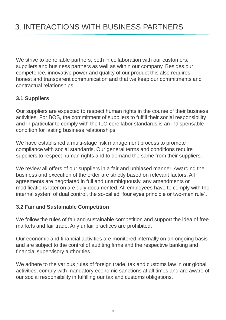We strive to be reliable partners, both in collaboration with our customers, suppliers and business partners as well as within our company. Besides our competence, innovative power and quality of our product this also requires honest and transparent communication and that we keep our commitments and contractual relationships.

#### **3.1 Suppliers**

Our suppliers are expected to respect human rights in the course of their business activities. For BOS, the commitment of suppliers to fulfill their social responsibility and in particular to comply with the ILO core labor standards is an indispensable condition for lasting business relationships.

We have established a multi-stage risk management process to promote compliance with social standards. Our general terms and conditions require suppliers to respect human rights and to demand the same from their suppliers.

We review all offers of our suppliers in a fair and unbiased manner. Awarding the business and execution of the order are strictly based on relevant factors. All agreements are negotiated in full and unambiguously, any amendments or modifications later on are duly documented. All employees have to comply with the internal system of dual control, the so-called "four eyes principle or two-man rule".

#### **3.2 Fair and Sustainable Competition**

We follow the rules of fair and sustainable competition and support the idea of free markets and fair trade. Any unfair practices are prohibited.

Our economic and financial activities are monitored internally on an ongoing basis and are subject to the control of auditing firms and the respective banking and financial supervisory authorities.

We adhere to the various rules of foreign trade, tax and customs law in our global activities, comply with mandatory economic sanctions at all times and are aware of our social responsibility in fulfilling our tax and customs obligations.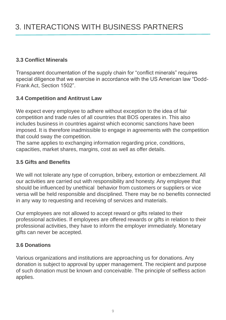#### **3.3 Conflict Minerals**

Transparent documentation of the supply chain for "conflict minerals" requires special diligence that we exercise in accordance with the US American law "Dodd-Frank Act, Section 1502".

#### **3.4 Competition and Antitrust Law**

We expect every employee to adhere without exception to the idea of fair competition and trade rules of all countries that BOS operates in. This also includes business in countries against which economic sanctions have been imposed. It is therefore inadmissible to engage in agreements with the competition that could sway the competition.

The same applies to exchanging information regarding price, conditions, capacities, market shares, margins, cost as well as offer details.

#### **3.5 Gifts and Benefits**

We will not tolerate any type of corruption, bribery, extortion or embezzlement. All our activities are carried out with responsibility and honesty. Any employee that should be influenced by unethical behavior from customers or suppliers or vice versa will be held responsible and disciplined. There may be no benefits connected in any way to requesting and receiving of services and materials.

Our employees are not allowed to accept reward or gifts related to their professional activities. If employees are offered rewards or gifts in relation to their professional activities, they have to inform the employer immediately. Monetary gifts can never be accepted.

#### **3.6 Donations**

Various organizations and institutions are approaching us for donations. Any donation is subject to approval by upper management. The recipient and purpose of such donation must be known and conceivable. The principle of selfless action applies.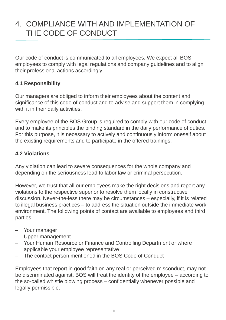### 4. COMPLIANCE WITH AND IMPLEMENTATION OF THE CODE OF CONDUCT

Our code of conduct is communicated to all employees. We expect all BOS employees to comply with legal regulations and company guidelines and to align their professional actions accordingly.

#### **4.1 Responsibility**

Our managers are obliged to inform their employees about the content and significance of this code of conduct and to advise and support them in complying with it in their daily activities.

Every employee of the BOS Group is required to comply with our code of conduct and to make its principles the binding standard in the daily performance of duties. For this purpose, it is necessary to actively and continuously inform oneself about the existing requirements and to participate in the offered trainings.

#### **4.2 Violations**

Any violation can lead to severe consequences for the whole company and depending on the seriousness lead to labor law or criminal persecution.

However, we trust that all our employees make the right decisions and report any violations to the respective superior to resolve them locally in constructive discussion. Never-the-less there may be circumstances – especially, if it is related to illegal business practices – to address the situation outside the immediate work environment. The following points of contact are available to employees and third parties:

- Your manager
- Upper management
- Your Human Resource or Finance and Controlling Department or where applicable your employee representative
- The contact person mentioned in the BOS Code of Conduct

Employees that report in good faith on any real or perceived misconduct, may not be discriminated against. BOS will treat the identity of the employee – according to the so-called whistle blowing process – confidentially whenever possible and legally permissible.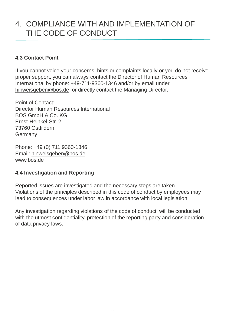### 4. COMPLIANCE WITH AND IMPLEMENTATION OF THE CODE OF CONDUCT

#### **4.3 Contact Point**

If you cannot voice your concerns, hints or complaints locally or you do not receive proper support, you can always contact the Director of Human Resources International by phone: +49-711-9360-1346 and/or by email under hinweisgeben@bos.de or directly contact the Managing Director.

Point of Contact: Director Human Resources International BOS GmbH & Co. KG Ernst-Heinkel-Str. 2 73760 Ostfildern Germany

Phone: +49 (0) 711 9360-1346 Email: hinweisgeben@bos.de www.bos.de

#### **4.4 Investigation and Reporting**

Reported issues are investigated and the necessary steps are taken. Violations of the principles described in this code of conduct by employees may lead to consequences under labor law in accordance with local legislation.

Any investigation regarding violations of the code of conduct will be conducted with the utmost confidentiality, protection of the reporting party and consideration of data privacy laws.